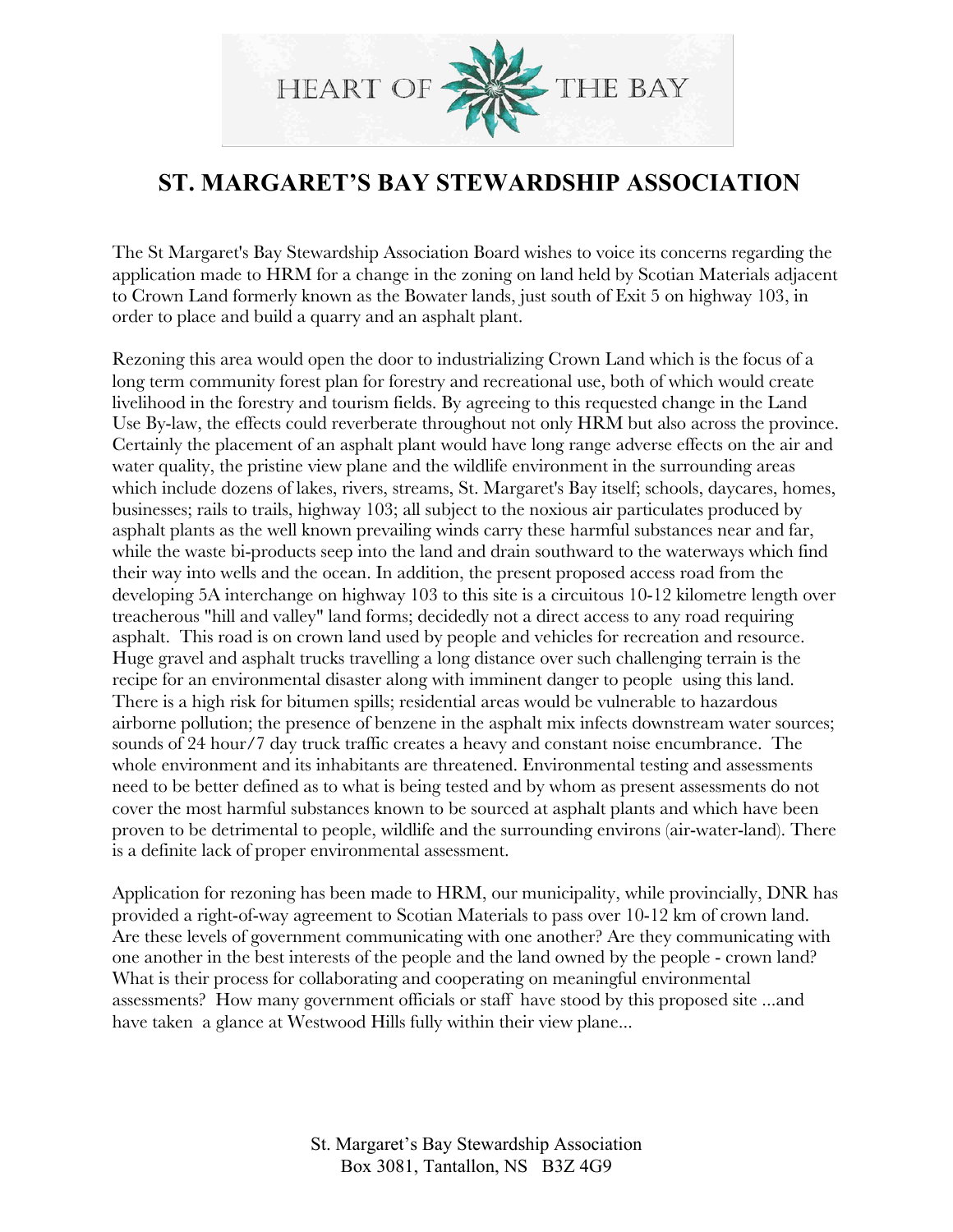

## **ST. MARGARET'S BAY STEWARDSHIP ASSOCIATION**

The St Margaret's Bay Stewardship Association Board wishes to voice its concerns regarding the application made to HRM for a change in the zoning on land held by Scotian Materials adjacent to Crown Land formerly known as the Bowater lands, just south of Exit 5 on highway 103, in order to place and build a quarry and an asphalt plant.

Rezoning this area would open the door to industrializing Crown Land which is the focus of a long term community forest plan for forestry and recreational use, both of which would create livelihood in the forestry and tourism fields. By agreeing to this requested change in the Land Use By-law, the effects could reverberate throughout not only HRM but also across the province. Certainly the placement of an asphalt plant would have long range adverse effects on the air and water quality, the pristine view plane and the wildlife environment in the surrounding areas which include dozens of lakes, rivers, streams, St. Margaret's Bay itself; schools, daycares, homes, businesses; rails to trails, highway 103; all subject to the noxious air particulates produced by asphalt plants as the well known prevailing winds carry these harmful substances near and far, while the waste bi-products seep into the land and drain southward to the waterways which find their way into wells and the ocean. In addition, the present proposed access road from the developing 5A interchange on highway 103 to this site is a circuitous 10-12 kilometre length over treacherous "hill and valley" land forms; decidedly not a direct access to any road requiring asphalt. This road is on crown land used by people and vehicles for recreation and resource. Huge gravel and asphalt trucks travelling a long distance over such challenging terrain is the recipe for an environmental disaster along with imminent danger to people using this land. There is a high risk for bitumen spills; residential areas would be vulnerable to hazardous airborne pollution; the presence of benzene in the asphalt mix infects downstream water sources; sounds of 24 hour/7 day truck traffic creates a heavy and constant noise encumbrance. The whole environment and its inhabitants are threatened. Environmental testing and assessments need to be better defined as to what is being tested and by whom as present assessments do not cover the most harmful substances known to be sourced at asphalt plants and which have been proven to be detrimental to people, wildlife and the surrounding environs (air-water-land). There is a definite lack of proper environmental assessment.

Application for rezoning has been made to HRM, our municipality, while provincially, DNR has provided a right-of-way agreement to Scotian Materials to pass over 10-12 km of crown land. Are these levels of government communicating with one another? Are they communicating with one another in the best interests of the people and the land owned by the people - crown land? What is their process for collaborating and cooperating on meaningful environmental assessments? How many government officials or staff have stood by this proposed site ...and have taken a glance at Westwood Hills fully within their view plane...